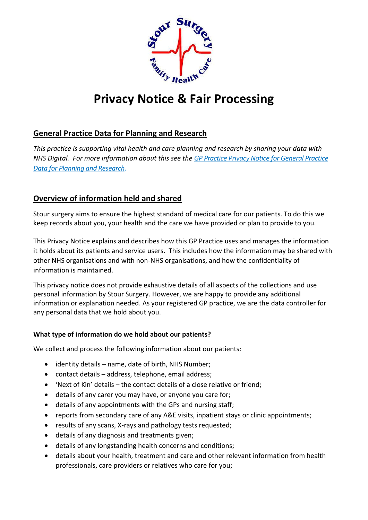

# **Privacy Notice & Fair Processing**

# **General Practice Data for Planning and Research**

*This practice is supporting vital health and care planning and research by sharing your data with NHS Digital. For more information about this see the GP [Practice Privacy Notice for General Practice](https://digital.nhs.uk/data-and-information/data-collections-and-data-sets/data-collections/general-practice-data-for-planning-and-research/gp-privacy-notice)  [Data for Planning and Research.](https://digital.nhs.uk/data-and-information/data-collections-and-data-sets/data-collections/general-practice-data-for-planning-and-research/gp-privacy-notice)*

# **Overview of information held and shared**

Stour surgery aims to ensure the highest standard of medical care for our patients. To do this we keep records about you, your health and the care we have provided or plan to provide to you.

This Privacy Notice explains and describes how this GP Practice uses and manages the information it holds about its patients and service users. This includes how the information may be shared with other NHS organisations and with non-NHS organisations, and how the confidentiality of information is maintained.

This privacy notice does not provide exhaustive details of all aspects of the collections and use personal information by Stour Surgery. However, we are happy to provide any additional information or explanation needed. As your registered GP practice, we are the data controller for any personal data that we hold about you.

# **What type of information do we hold about our patients?**

We collect and process the following information about our patients:

- identity details name, date of birth, NHS Number;
- contact details address, telephone, email address;
- 'Next of Kin' details the contact details of a close relative or friend;
- details of any carer you may have, or anyone you care for;
- details of any appointments with the GPs and nursing staff;
- reports from secondary care of any A&E visits, inpatient stays or clinic appointments;
- results of any scans, X-rays and pathology tests requested;
- details of any diagnosis and treatments given;
- details of any longstanding health concerns and conditions;
- details about your health, treatment and care and other relevant information from health professionals, care providers or relatives who care for you;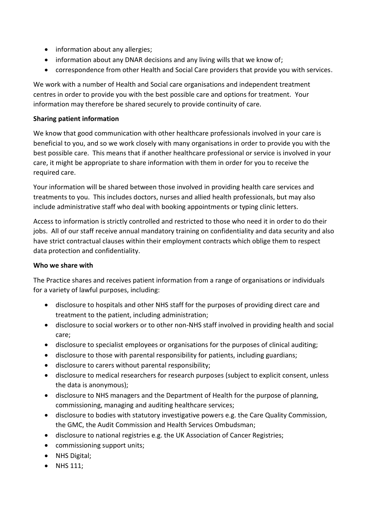- information about any allergies;
- information about any DNAR decisions and any living wills that we know of;
- correspondence from other Health and Social Care providers that provide you with services.

We work with a number of Health and Social care organisations and independent treatment centres in order to provide you with the best possible care and options for treatment. Your information may therefore be shared securely to provide continuity of care.

#### **Sharing patient information**

We know that good communication with other healthcare professionals involved in your care is beneficial to you, and so we work closely with many organisations in order to provide you with the best possible care. This means that if another healthcare professional or service is involved in your care, it might be appropriate to share information with them in order for you to receive the required care.

Your information will be shared between those involved in providing health care services and treatments to you. This includes doctors, nurses and allied health professionals, but may also include administrative staff who deal with booking appointments or typing clinic letters.

Access to information is strictly controlled and restricted to those who need it in order to do their jobs. All of our staff receive annual mandatory training on confidentiality and data security and also have strict contractual clauses within their employment contracts which oblige them to respect data protection and confidentiality.

#### **Who we share with**

The Practice shares and receives patient information from a range of organisations or individuals for a variety of lawful purposes, including:

- disclosure to hospitals and other NHS staff for the purposes of providing direct care and treatment to the patient, including administration;
- disclosure to social workers or to other non-NHS staff involved in providing health and social care;
- disclosure to specialist employees or organisations for the purposes of clinical auditing;
- disclosure to those with parental responsibility for patients, including guardians;
- disclosure to carers without parental responsibility;
- disclosure to medical researchers for research purposes (subject to explicit consent, unless the data is anonymous);
- disclosure to NHS managers and the Department of Health for the purpose of planning, commissioning, managing and auditing healthcare services;
- disclosure to bodies with statutory investigative powers e.g. the Care Quality Commission, the GMC, the Audit Commission and Health Services Ombudsman;
- disclosure to national registries e.g. the UK Association of Cancer Registries;
- commissioning support units;
- NHS Digital;
- NHS 111;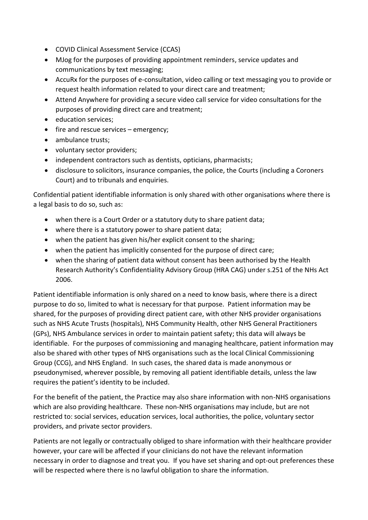- COVID Clinical Assessment Service (CCAS)
- MJog for the purposes of providing appointment reminders, service updates and communications by text messaging;
- AccuRx for the purposes of e-consultation, video calling or text messaging you to provide or request health information related to your direct care and treatment;
- Attend Anywhere for providing a secure video call service for video consultations for the purposes of providing direct care and treatment;
- education services;
- fire and rescue services emergency;
- ambulance trusts;
- voluntary sector providers;
- independent contractors such as dentists, opticians, pharmacists;
- disclosure to solicitors, insurance companies, the police, the Courts (including a Coroners Court) and to tribunals and enquiries.

Confidential patient identifiable information is only shared with other organisations where there is a legal basis to do so, such as:

- when there is a Court Order or a statutory duty to share patient data;
- where there is a statutory power to share patient data;
- when the patient has given his/her explicit consent to the sharing;
- when the patient has implicitly consented for the purpose of direct care;
- when the sharing of patient data without consent has been authorised by the Health Research Authority's Confidentiality Advisory Group (HRA CAG) under s.251 of the NHs Act 2006.

Patient identifiable information is only shared on a need to know basis, where there is a direct purpose to do so, limited to what is necessary for that purpose. Patient information may be shared, for the purposes of providing direct patient care, with other NHS provider organisations such as NHS Acute Trusts (hospitals), NHS Community Health, other NHS General Practitioners (GPs), NHS Ambulance services in order to maintain patient safety; this data will always be identifiable. For the purposes of commissioning and managing healthcare, patient information may also be shared with other types of NHS organisations such as the local Clinical Commissioning Group (CCG), and NHS England. In such cases, the shared data is made anonymous or pseudonymised, wherever possible, by removing all patient identifiable details, unless the law requires the patient's identity to be included.

For the benefit of the patient, the Practice may also share information with non-NHS organisations which are also providing healthcare. These non-NHS organisations may include, but are not restricted to: social services, education services, local authorities, the police, voluntary sector providers, and private sector providers.

Patients are not legally or contractually obliged to share information with their healthcare provider however, your care will be affected if your clinicians do not have the relevant information necessary in order to diagnose and treat you. If you have set sharing and opt-out preferences these will be respected where there is no lawful obligation to share the information.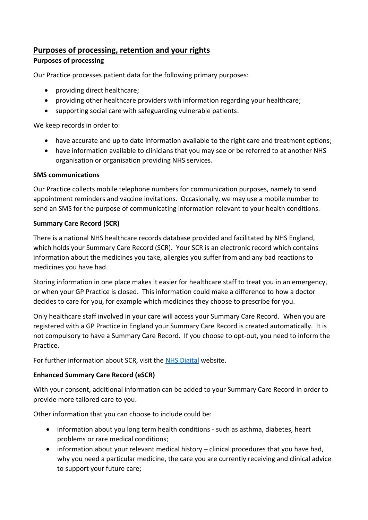# **Purposes of processing, retention and your rights**

# **Purposes of processing**

Our Practice processes patient data for the following primary purposes:

- providing direct healthcare;
- providing other healthcare providers with information regarding your healthcare;
- supporting social care with safeguarding vulnerable patients.

We keep records in order to:

- have accurate and up to date information available to the right care and treatment options;
- have information available to clinicians that you may see or be referred to at another NHS organisation or organisation providing NHS services.

#### **SMS communications**

Our Practice collects mobile telephone numbers for communication purposes, namely to send appointment reminders and vaccine invitations. Occasionally, we may use a mobile number to send an SMS for the purpose of communicating information relevant to your health conditions.

# **Summary Care Record (SCR)**

There is a national NHS healthcare records database provided and facilitated by NHS England, which holds your Summary Care Record (SCR). Your SCR is an electronic record which contains information about the medicines you take, allergies you suffer from and any bad reactions to medicines you have had.

Storing information in one place makes it easier for healthcare staff to treat you in an emergency, or when your GP Practice is closed. This information could make a difference to how a doctor decides to care for you, for example which medicines they choose to prescribe for you.

Only healthcare staff involved in your care will access your Summary Care Record. When you are registered with a GP Practice in England your Summary Care Record is created automatically. It is not compulsory to have a Summary Care Record. If you choose to opt-out, you need to inform the **Practice** 

For further information about SCR, visit the [NHS Digital](https://digital.nhs.uk/services/summary-care-records-scr/summary-care-records-scr-information-for-patients) website.

# **Enhanced Summary Care Record (eSCR)**

With your consent, additional information can be added to your Summary Care Record in order to provide more tailored care to you.

Other information that you can choose to include could be:

- information about you long term health conditions such as asthma, diabetes, heart problems or rare medical conditions;
- information about your relevant medical history clinical procedures that you have had, why you need a particular medicine, the care you are currently receiving and clinical advice to support your future care;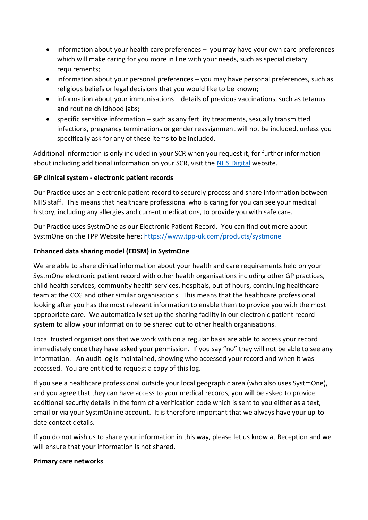- information about your health care preferences you may have your own care preferences which will make caring for you more in line with your needs, such as special dietary requirements;
- information about your personal preferences you may have personal preferences, such as religious beliefs or legal decisions that you would like to be known;
- information about your immunisations details of previous vaccinations, such as tetanus and routine childhood jabs;
- specific sensitive information such as any fertility treatments, sexually transmitted infections, pregnancy terminations or gender reassignment will not be included, unless you specifically ask for any of these items to be included.

Additional information is only included in your SCR when you request it, for further information about including additional information on your SCR, visit the [NHS Digital](https://digital.nhs.uk/services/summary-care-records-scr/additional-information-in-scr) website.

# **GP clinical system - electronic patient records**

Our Practice uses an electronic patient record to securely process and share information between NHS staff. This means that healthcare professional who is caring for you can see your medical history, including any allergies and current medications, to provide you with safe care.

Our Practice uses SystmOne as our Electronic Patient Record. You can find out more about SystmOne on the TPP Website here:<https://www.tpp-uk.com/products/systmone>

# **Enhanced data sharing model (EDSM) in SystmOne**

We are able to share clinical information about your health and care requirements held on your SystmOne electronic patient record with other health organisations including other GP practices, child health services, community health services, hospitals, out of hours, continuing healthcare team at the CCG and other similar organisations. This means that the healthcare professional looking after you has the most relevant information to enable them to provide you with the most appropriate care. We automatically set up the sharing facility in our electronic patient record system to allow your information to be shared out to other health organisations.

Local trusted organisations that we work with on a regular basis are able to access your record immediately once they have asked your permission. If you say "no" they will not be able to see any information. An audit log is maintained, showing who accessed your record and when it was accessed. You are entitled to request a copy of this log.

If you see a healthcare professional outside your local geographic area (who also uses SystmOne), and you agree that they can have access to your medical records, you will be asked to provide additional security details in the form of a verification code which is sent to you either as a text, email or via your SystmOnline account. It is therefore important that we always have your up-todate contact details.

If you do not wish us to share your information in this way, please let us know at Reception and we will ensure that your information is not shared.

#### **Primary care networks**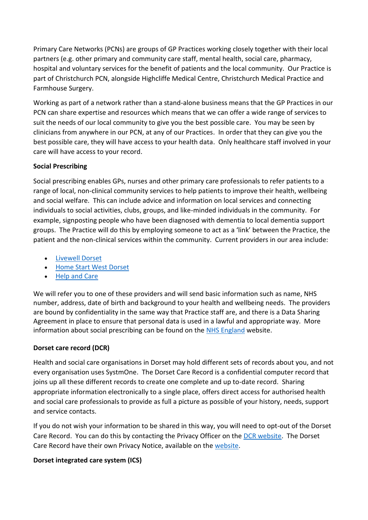Primary Care Networks (PCNs) are groups of GP Practices working closely together with their local partners (e.g. other primary and community care staff, mental health, social care, pharmacy, hospital and voluntary services for the benefit of patients and the local community. Our Practice is part of Christchurch PCN, alongside Highcliffe Medical Centre, Christchurch Medical Practice and Farmhouse Surgery.

Working as part of a network rather than a stand-alone business means that the GP Practices in our PCN can share expertise and resources which means that we can offer a wide range of services to suit the needs of our local community to give you the best possible care. You may be seen by clinicians from anywhere in our PCN, at any of our Practices. In order that they can give you the best possible care, they will have access to your health data. Only healthcare staff involved in your care will have access to your record.

# **Social Prescribing**

Social prescribing enables GPs, nurses and other primary care professionals to refer patients to a range of local, non-clinical community services to help patients to improve their health, wellbeing and social welfare. This can include advice and information on local services and connecting individuals to social activities, clubs, groups, and like-minded individuals in the community. For example, signposting people who have been diagnosed with dementia to local dementia support groups. The Practice will do this by employing someone to act as a 'link' between the Practice, the patient and the non-clinical services within the community. Current providers in our area include:

- [Livewell Dorset](https://www.livewelldorset.co.uk/)
- [Home Start West Dorset](https://www.homestartwestdorset.co.uk/)
- [Help and Care](https://www.helpandcare.org.uk/)

We will refer you to one of these providers and will send basic information such as name, NHS number, address, date of birth and background to your health and wellbeing needs. The providers are bound by confidentiality in the same way that Practice staff are, and there is a Data Sharing Agreement in place to ensure that personal data is used in a lawful and appropriate way. More information about social prescribing can be found on the [NHS England](https://www.england.nhs.uk/personalisedcare/social-prescribing/) website.

# **Dorset care record (DCR)**

Health and social care organisations in Dorset may hold different sets of records about you, and not every organisation uses SystmOne. The Dorset Care Record is a confidential computer record that joins up all these different records to create one complete and up to-date record. Sharing appropriate information electronically to a single place, offers direct access for authorised health and social care professionals to provide as full a picture as possible of your history, needs, support and service contacts.

If you do not wish your information to be shared in this way, you will need to opt-out of the Dorset Care Record. You can do this by contacting the Privacy Officer on the [DCR website.](https://news.dorsetforyou.gov.uk/dorset-care-record/opt-out/) The Dorset Care Record have their own Privacy Notice, available on the [website.](https://news.dorsetforyou.gov.uk/dorset-care-record/files/2019/05/External-Privacy-Notice-DCR-March-2019.pdf)

#### **Dorset integrated care system (ICS)**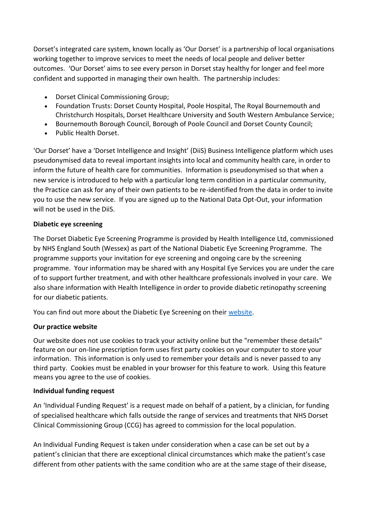Dorset's integrated care system, known locally as 'Our Dorset' is a partnership of local organisations working together to improve services to meet the needs of local people and deliver better outcomes. 'Our Dorset' aims to see every person in Dorset stay healthy for longer and feel more confident and supported in managing their own health. The partnership includes:

- Dorset Clinical Commissioning Group;
- Foundation Trusts: Dorset County Hospital, Poole Hospital, The Royal Bournemouth and Christchurch Hospitals, Dorset Healthcare University and South Western Ambulance Service;
- Bournemouth Borough Council, Borough of Poole Council and Dorset County Council;
- Public Health Dorset.

'Our Dorset' have a 'Dorset Intelligence and Insight' (DiiS) Business Intelligence platform which uses pseudonymised data to reveal important insights into local and community health care, in order to inform the future of health care for communities. Information is pseudonymised so that when a new service is introduced to help with a particular long term condition in a particular community, the Practice can ask for any of their own patients to be re-identified from the data in order to invite you to use the new service. If you are signed up to the National Data Opt-Out, your information will not be used in the DiiS.

#### **Diabetic eye screening**

The Dorset Diabetic Eye Screening Programme is provided by Health Intelligence Ltd, commissioned by NHS England South (Wessex) as part of the National Diabetic Eye Screening Programme. The programme supports your invitation for eye screening and ongoing care by the screening programme. Your information may be shared with any Hospital Eye Services you are under the care of to support further treatment, and with other healthcare professionals involved in your care. We also share information with Health Intelligence in order to provide diabetic retinopathy screening for our diabetic patients.

You can find out more about the Diabetic Eye Screening on their [website.](http://www.despdorset.co.uk/diabetic-eye-screening/privacy-notice/)

#### **Our practice website**

Our website does not use cookies to track your activity online but the "remember these details" feature on our on-line prescription form uses first party cookies on your computer to store your information. This information is only used to remember your details and is never passed to any third party. Cookies must be enabled in your browser for this feature to work. Using this feature means you agree to the use of cookies.

#### **Individual funding request**

An 'Individual Funding Request' is a request made on behalf of a patient, by a clinician, for funding of specialised healthcare which falls outside the range of services and treatments that NHS Dorset Clinical Commissioning Group (CCG) has agreed to commission for the local population.

An Individual Funding Request is taken under consideration when a case can be set out by a patient's clinician that there are exceptional clinical circumstances which make the patient's case different from other patients with the same condition who are at the same stage of their disease,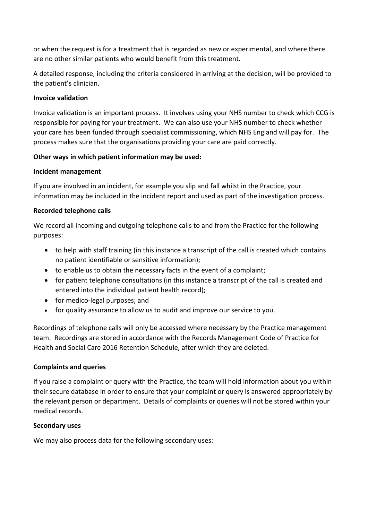or when the request is for a treatment that is regarded as new or experimental, and where there are no other similar patients who would benefit from this treatment.

A detailed response, including the criteria considered in arriving at the decision, will be provided to the patient's clinician.

#### **Invoice validation**

Invoice validation is an important process. It involves using your NHS number to check which CCG is responsible for paying for your treatment. We can also use your NHS number to check whether your care has been funded through specialist commissioning, which NHS England will pay for. The process makes sure that the organisations providing your care are paid correctly.

#### **Other ways in which patient information may be used:**

#### **Incident management**

If you are involved in an incident, for example you slip and fall whilst in the Practice, your information may be included in the incident report and used as part of the investigation process.

#### **Recorded telephone calls**

We record all incoming and outgoing telephone calls to and from the Practice for the following purposes:

- to help with staff training (in this instance a transcript of the call is created which contains no patient identifiable or sensitive information);
- to enable us to obtain the necessary facts in the event of a complaint;
- for patient telephone consultations (in this instance a transcript of the call is created and entered into the individual patient health record);
- for medico-legal purposes; and
- for quality assurance to allow us to audit and improve our service to you.

Recordings of telephone calls will only be accessed where necessary by the Practice management team. Recordings are stored in accordance with the Records Management Code of Practice for Health and Social Care 2016 Retention Schedule, after which they are deleted.

#### **Complaints and queries**

If you raise a complaint or query with the Practice, the team will hold information about you within their secure database in order to ensure that your complaint or query is answered appropriately by the relevant person or department. Details of complaints or queries will not be stored within your medical records.

#### **Secondary uses**

We may also process data for the following secondary uses: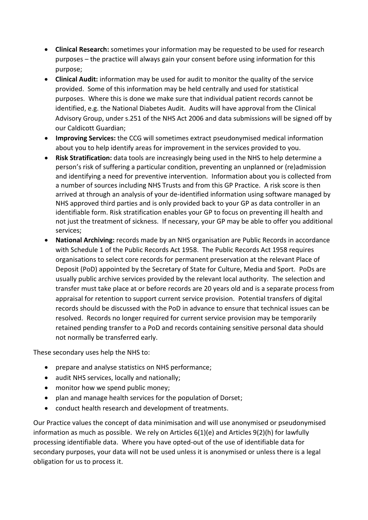- **Clinical Research:** sometimes your information may be requested to be used for research purposes – the practice will always gain your consent before using information for this purpose;
- **Clinical Audit:** information may be used for audit to monitor the quality of the service provided. Some of this information may be held centrally and used for statistical purposes. Where this is done we make sure that individual patient records cannot be identified, e.g. the National Diabetes Audit. Audits will have approval from the Clinical Advisory Group, under s.251 of the NHS Act 2006 and data submissions will be signed off by our Caldicott Guardian;
- **Improving Services:** the CCG will sometimes extract pseudonymised medical information about you to help identify areas for improvement in the services provided to you.
- **Risk Stratification:** data tools are increasingly being used in the NHS to help determine a person's risk of suffering a particular condition, preventing an unplanned or (re)admission and identifying a need for preventive intervention. Information about you is collected from a number of sources including NHS Trusts and from this GP Practice. A risk score is then arrived at through an analysis of your de-identified information using software managed by NHS approved third parties and is only provided back to your GP as data controller in an identifiable form. Risk stratification enables your GP to focus on preventing ill health and not just the treatment of sickness. If necessary, your GP may be able to offer you additional services;
- **National Archiving:** records made by an NHS organisation are Public Records in accordance with Schedule 1 of the Public Records Act 1958. The Public Records Act 1958 requires organisations to select core records for permanent preservation at the relevant Place of Deposit (PoD) appointed by the Secretary of State for Culture, Media and Sport. PoDs are usually public archive services provided by the relevant local authority. The selection and transfer must take place at or before records are 20 years old and is a separate process from appraisal for retention to support current service provision. Potential transfers of digital records should be discussed with the PoD in advance to ensure that technical issues can be resolved. Records no longer required for current service provision may be temporarily retained pending transfer to a PoD and records containing sensitive personal data should not normally be transferred early.

These secondary uses help the NHS to:

- prepare and analyse statistics on NHS performance;
- audit NHS services, locally and nationally;
- monitor how we spend public money;
- plan and manage health services for the population of Dorset;
- conduct health research and development of treatments.

Our Practice values the concept of data minimisation and will use anonymised or pseudonymised information as much as possible. We rely on Articles 6(1)(e) and Articles 9(2)(h) for lawfully processing identifiable data. Where you have opted-out of the use of identifiable data for secondary purposes, your data will not be used unless it is anonymised or unless there is a legal obligation for us to process it.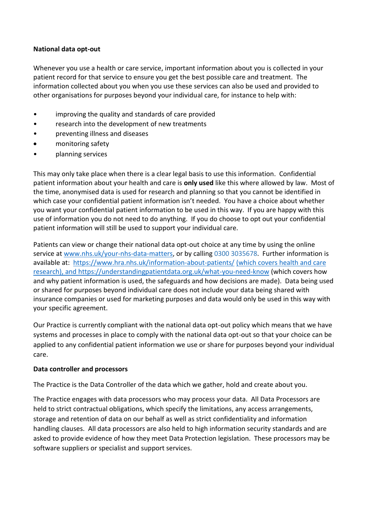#### **National data opt-out**

Whenever you use a health or care service, important information about you is collected in your patient record for that service to ensure you get the best possible care and treatment. The information collected about you when you use these services can also be used and provided to other organisations for purposes beyond your individual care, for instance to help with:

- improving the quality and standards of care provided
- research into the development of new treatments
- preventing illness and diseases
- monitoring safety
- planning services

This may only take place when there is a clear legal basis to use this information. Confidential patient information about your health and care is **only used** like this where allowed by law. Most of the time, anonymised data is used for research and planning so that you cannot be identified in which case your confidential patient information isn't needed. You have a choice about whether you want your confidential patient information to be used in this way. If you are happy with this use of information you do not need to do anything. If you do choose to opt out your confidential patient information will still be used to support your individual care.

Patients can view or change their national data opt-out choice at any time by using the online service at [www.nhs.uk/your-nhs-data-matters,](https://www.nhs.uk/your-nhs-data-matters/) or by calling 0300 3035678. Further information is available at: <https://www.hra.nhs.uk/information-about-patients/> (which covers health and care research), and<https://understandingpatientdata.org.uk/what-you-need-know> (which covers how and why patient information is used, the safeguards and how decisions are made). Data being used or shared for purposes beyond individual care does not include your data being shared with insurance companies or used for marketing purposes and data would only be used in this way with your specific agreement.

Our Practice is currently compliant with the national data opt-out policy which means that we have systems and processes in place to comply with the national data opt-out so that your choice can be applied to any confidential patient information we use or share for purposes beyond your individual care.

#### **Data controller and processors**

The Practice is the Data Controller of the data which we gather, hold and create about you.

The Practice engages with data processors who may process your data. All Data Processors are held to strict contractual obligations, which specify the limitations, any access arrangements, storage and retention of data on our behalf as well as strict confidentiality and information handling clauses. All data processors are also held to high information security standards and are asked to provide evidence of how they meet Data Protection legislation. These processors may be software suppliers or specialist and support services.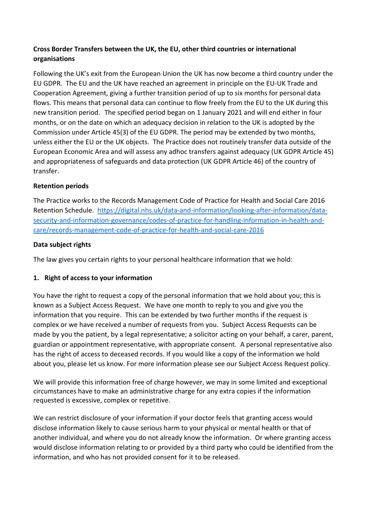# **Cross Border Transfers between the UK, the EU, other third countries or international organisations**

Following the UK's exit from the European Union the UK has now become a third country under the EU GDPR. The EU and the UK have reached an agreement in principle on the EU-UK Trade and Cooperation Agreement, giving a further transition period of up to six months for personal data flows. This means that personal data can continue to flow freely from the EU to the UK during this new transition period. The specified period began on 1 January 2021 and will end either in four months, or on the date on which an adequacy decision in relation to the UK is adopted by the Commission under Article 45(3) of the EU GDPR. The period may be extended by two months, unless either the EU or the UK objects. The Practice does not routinely transfer data outside of the European Economic Area and will assess any adhoc transfers against adequacy (UK GDPR Article 45) and appropriateness of safeguards and data protection (UK GDPR Article 46) of the country of transfer.

# **Retention periods**

The Practice works to the Records Management Code of Practice for Health and Social Care 2016 Retention Schedule. [https://digital.nhs.uk/data-and-information/looking-after-information/data](https://digital.nhs.uk/data-and-information/looking-after-information/data-security-and-information-governance/codes-of-practice-for-handling-information-in-health-and-care/records-management-code-of-practice-for-health-and-social-care-2016)[security-and-information-governance/codes-of-practice-for-handling-information-in-health-and](https://digital.nhs.uk/data-and-information/looking-after-information/data-security-and-information-governance/codes-of-practice-for-handling-information-in-health-and-care/records-management-code-of-practice-for-health-and-social-care-2016)[care/records-management-code-of-practice-for-health-and-social-care-2016](https://digital.nhs.uk/data-and-information/looking-after-information/data-security-and-information-governance/codes-of-practice-for-handling-information-in-health-and-care/records-management-code-of-practice-for-health-and-social-care-2016)

# **Data subject rights**

The law gives you certain rights to your personal healthcare information that we hold:

# **1. Right of access to your information**

You have the right to request a copy of the personal information that we hold about you; this is known as a Subject Access Request. We have one month to reply to you and give you the information that you require. This can be extended by two further months if the request is complex or we have received a number of requests from you. Subject Access Requests can be made by you the patient, by a legal representative; a solicitor acting on your behalf, a carer, parent, guardian or appointment representative, with appropriate consent. A personal representative also has the right of access to deceased records. If you would like a copy of the information we hold about you, please let us know. For more information please see our Subject Access Request policy.

We will provide this information free of charge however, we may in some limited and exceptional circumstances have to make an administrative charge for any extra copies if the information requested is excessive, complex or repetitive.

We can restrict disclosure of your information if your doctor feels that granting access would disclose information likely to cause serious harm to your physical or mental health or that of another individual, and where you do not already know the information. Or where granting access would disclose information relating to or provided by a third party who could be identified from the information, and who has not provided consent for it to be released.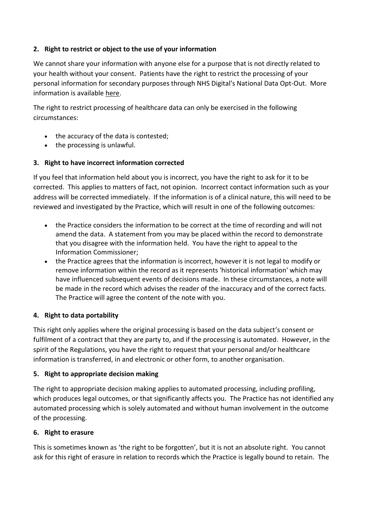# **2. Right to restrict or object to the use of your information**

We cannot share your information with anyone else for a purpose that is not directly related to your health without your consent. Patients have the right to restrict the processing of your personal information for secondary purposes through NHS Digital's National Data Opt-Out. More information is available [here.](https://www.nhs.uk/your-nhs-data-matters/)

The right to restrict processing of healthcare data can only be exercised in the following circumstances:

- the accuracy of the data is contested;
- the processing is unlawful.

#### **3. Right to have incorrect information corrected**

If you feel that information held about you is incorrect, you have the right to ask for it to be corrected. This applies to matters of fact, not opinion. Incorrect contact information such as your address will be corrected immediately. If the information is of a clinical nature, this will need to be reviewed and investigated by the Practice, which will result in one of the following outcomes:

- the Practice considers the information to be correct at the time of recording and will not amend the data. A statement from you may be placed within the record to demonstrate that you disagree with the information held. You have the right to appeal to the Information Commissioner;
- the Practice agrees that the information is incorrect, however it is not legal to modify or remove information within the record as it represents 'historical information' which may have influenced subsequent events of decisions made. In these circumstances, a note will be made in the record which advises the reader of the inaccuracy and of the correct facts. The Practice will agree the content of the note with you.

#### **4. Right to data portability**

This right only applies where the original processing is based on the data subject's consent or fulfilment of a contract that they are party to, and if the processing is automated. However, in the spirit of the Regulations, you have the right to request that your personal and/or healthcare information is transferred, in and electronic or other form, to another organisation.

#### **5. Right to appropriate decision making**

The right to appropriate decision making applies to automated processing, including profiling, which produces legal outcomes, or that significantly affects you. The Practice has not identified any automated processing which is solely automated and without human involvement in the outcome of the processing.

#### **6. Right to erasure**

This is sometimes known as 'the right to be forgotten', but it is not an absolute right. You cannot ask for this right of erasure in relation to records which the Practice is legally bound to retain. The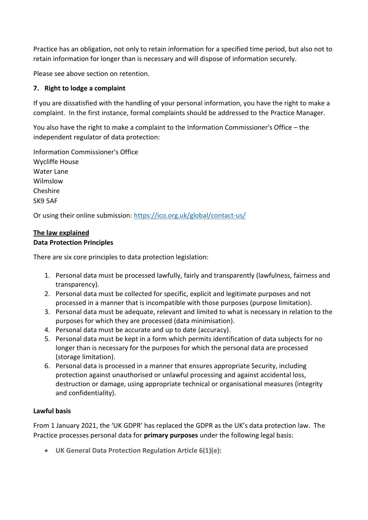Practice has an obligation, not only to retain information for a specified time period, but also not to retain information for longer than is necessary and will dispose of information securely.

Please see above section on retention.

#### **7. Right to lodge a complaint**

If you are dissatisfied with the handling of your personal information, you have the right to make a complaint. In the first instance, formal complaints should be addressed to the Practice Manager.

You also have the right to make a complaint to the Information Commissioner's Office – the independent regulator of data protection:

Information Commissioner's Office Wycliffe House Water Lane Wilmslow Cheshire SK9 5AF

Or using their online submission:<https://ico.org.uk/global/contact-us/>

#### **The law explained**

#### **Data Protection Principles**

There are six core principles to data protection legislation:

- 1. Personal data must be processed lawfully, fairly and transparently (lawfulness, fairness and transparency).
- 2. Personal data must be collected for specific, explicit and legitimate purposes and not processed in a manner that is incompatible with those purposes (purpose limitation).
- 3. Personal data must be adequate, relevant and limited to what is necessary in relation to the purposes for which they are processed (data minimisation).
- 4. Personal data must be accurate and up to date (accuracy).
- 5. Personal data must be kept in a form which permits identification of data subjects for no longer than is necessary for the purposes for which the personal data are processed (storage limitation).
- 6. Personal data is processed in a manner that ensures appropriate Security, including protection against unauthorised or unlawful processing and against accidental loss, destruction or damage, using appropriate technical or organisational measures (integrity and confidentiality).

#### **Lawful basis**

From 1 January 2021, the 'UK GDPR' has replaced the GDPR as the UK's data protection law. The Practice processes personal data for **primary purposes** under the following legal basis:

• **UK General Data Protection Regulation Article 6(1)(e):**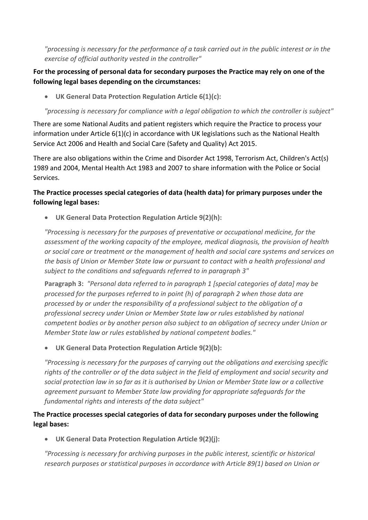*"processing is necessary for the performance of a task carried out in the public interest or in the exercise of official authority vested in the controller"*

# **For the processing of personal data for secondary purposes the Practice may rely on one of the following legal bases depending on the circumstances:**

• **UK General Data Protection Regulation Article 6(1)(c):** 

*"processing is necessary for compliance with a legal obligation to which the controller is subject"*

There are some National Audits and patient registers which require the Practice to process your information under Article 6(1)(c) in accordance with UK legislations such as the National Health Service Act 2006 and Health and Social Care (Safety and Quality) Act 2015.

There are also obligations within the Crime and Disorder Act 1998, Terrorism Act, Children's Act(s) 1989 and 2004, Mental Health Act 1983 and 2007 to share information with the Police or Social Services.

# **The Practice processes special categories of data (health data) for primary purposes under the following legal bases:**

• **UK General Data Protection Regulation Article 9(2)(h):** 

*"Processing is necessary for the purposes of preventative or occupational medicine, for the assessment of the working capacity of the employee, medical diagnosis, the provision of health or social care or treatment or the management of health and social care systems and services on the basis of Union or Member State law or pursuant to contact with a health professional and subject to the conditions and safeguards referred to in paragraph 3"*

**Paragraph 3:** *"Personal data referred to in paragraph 1 [special categories of data] may be processed for the purposes referred to in point (h) of paragraph 2 when those data are processed by or under the responsibility of a professional subject to the obligation of a professional secrecy under Union or Member State law or rules established by national competent bodies or by another person also subject to an obligation of secrecy under Union or Member State law or rules established by national competent bodies."* 

• **UK General Data Protection Regulation Article 9(2)(b):**

*"Processing is necessary for the purposes of carrying out the obligations and exercising specific rights of the controller or of the data subject in the field of employment and social security and social protection law in so far as it is authorised by Union or Member State law or a collective agreement pursuant to Member State law providing for appropriate safeguards for the fundamental rights and interests of the data subject"*

# **The Practice processes special categories of data for secondary purposes under the following legal bases:**

• **UK General Data Protection Regulation Article 9(2)(j):** 

*"Processing is necessary for archiving purposes in the public interest, scientific or historical research purposes or statistical purposes in accordance with Article 89(1) based on Union or*